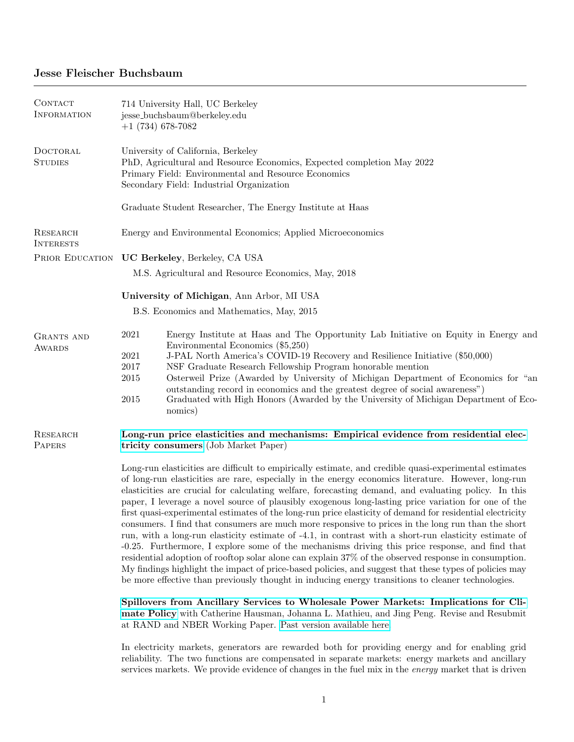## Jesse Fleischer Buchsbaum

| 714 University Hall, UC Berkeley<br>jesse_buchsbaum@berkeley.edu<br>$+1(734)678-7082$                                                                                                                                                                                                                                                                                                                                                                                                                                                                                                                                                                                                                                                                                                                                                                                                                                                                                                                                                                                                                                                                                                                                                                                      |  |  |
|----------------------------------------------------------------------------------------------------------------------------------------------------------------------------------------------------------------------------------------------------------------------------------------------------------------------------------------------------------------------------------------------------------------------------------------------------------------------------------------------------------------------------------------------------------------------------------------------------------------------------------------------------------------------------------------------------------------------------------------------------------------------------------------------------------------------------------------------------------------------------------------------------------------------------------------------------------------------------------------------------------------------------------------------------------------------------------------------------------------------------------------------------------------------------------------------------------------------------------------------------------------------------|--|--|
| University of California, Berkeley<br>PhD, Agricultural and Resource Economics, Expected completion May 2022<br>Primary Field: Environmental and Resource Economics<br>Secondary Field: Industrial Organization                                                                                                                                                                                                                                                                                                                                                                                                                                                                                                                                                                                                                                                                                                                                                                                                                                                                                                                                                                                                                                                            |  |  |
| Graduate Student Researcher, The Energy Institute at Haas                                                                                                                                                                                                                                                                                                                                                                                                                                                                                                                                                                                                                                                                                                                                                                                                                                                                                                                                                                                                                                                                                                                                                                                                                  |  |  |
| Energy and Environmental Economics; Applied Microeconomics                                                                                                                                                                                                                                                                                                                                                                                                                                                                                                                                                                                                                                                                                                                                                                                                                                                                                                                                                                                                                                                                                                                                                                                                                 |  |  |
| PRIOR EDUCATION UC Berkeley, Berkeley, CA USA                                                                                                                                                                                                                                                                                                                                                                                                                                                                                                                                                                                                                                                                                                                                                                                                                                                                                                                                                                                                                                                                                                                                                                                                                              |  |  |
| M.S. Agricultural and Resource Economics, May, 2018                                                                                                                                                                                                                                                                                                                                                                                                                                                                                                                                                                                                                                                                                                                                                                                                                                                                                                                                                                                                                                                                                                                                                                                                                        |  |  |
| University of Michigan, Ann Arbor, MI USA                                                                                                                                                                                                                                                                                                                                                                                                                                                                                                                                                                                                                                                                                                                                                                                                                                                                                                                                                                                                                                                                                                                                                                                                                                  |  |  |
| B.S. Economics and Mathematics, May, 2015                                                                                                                                                                                                                                                                                                                                                                                                                                                                                                                                                                                                                                                                                                                                                                                                                                                                                                                                                                                                                                                                                                                                                                                                                                  |  |  |
| 2021<br>Energy Institute at Haas and The Opportunity Lab Initiative on Equity in Energy and<br>Environmental Economics (\$5,250)<br>2021<br>J-PAL North America's COVID-19 Recovery and Resilience Initiative (\$50,000)<br>NSF Graduate Research Fellowship Program honorable mention<br>2017<br>Osterweil Prize (Awarded by University of Michigan Department of Economics for "an<br>2015<br>outstanding record in economics and the greatest degree of social awareness")<br>2015<br>Graduated with High Honors (Awarded by the University of Michigan Department of Eco-<br>nomics)                                                                                                                                                                                                                                                                                                                                                                                                                                                                                                                                                                                                                                                                                   |  |  |
| Long-run price elasticities and mechanisms: Empirical evidence from residential elec-<br>tricity consumers (Job Market Paper)                                                                                                                                                                                                                                                                                                                                                                                                                                                                                                                                                                                                                                                                                                                                                                                                                                                                                                                                                                                                                                                                                                                                              |  |  |
| Long-run elasticities are difficult to empirically estimate, and credible quasi-experimental estimates<br>of long-run elasticities are rare, especially in the energy economics literature. However, long-run<br>elasticities are crucial for calculating welfare, forecasting demand, and evaluating policy. In this<br>paper, I leverage a novel source of plausibly exogenous long-lasting price variation for one of the<br>first quasi-experimental estimates of the long-run price elasticity of demand for residential electricity<br>consumers. I find that consumers are much more responsive to prices in the long run than the short<br>run, with a long-run elasticity estimate of -4.1, in contrast with a short-run elasticity estimate of<br>-0.25. Furthermore, I explore some of the mechanisms driving this price response, and find that<br>residential adoption of rooftop solar alone can explain 37% of the observed response in consumption.<br>My findings highlight the impact of price-based policies, and suggest that these types of policies may<br>be more effective than previously thought in inducing energy transitions to cleaner technologies.<br>Spillovers from Ancillary Services to Wholesale Power Markets: Implications for Cli- |  |  |
|                                                                                                                                                                                                                                                                                                                                                                                                                                                                                                                                                                                                                                                                                                                                                                                                                                                                                                                                                                                                                                                                                                                                                                                                                                                                            |  |  |

[mate Policy](https://jesse-buchsbaum.com/files/w28027.pdf) with Catherine Hausman, Johanna L. Mathieu, and Jing Peng. Revise and Resubmit at RAND and NBER Working Paper. [Past version available here.](https://www.nber.org/papers/w28027)

In electricity markets, generators are rewarded both for providing energy and for enabling grid reliability. The two functions are compensated in separate markets: energy markets and ancillary services markets. We provide evidence of changes in the fuel mix in the energy market that is driven